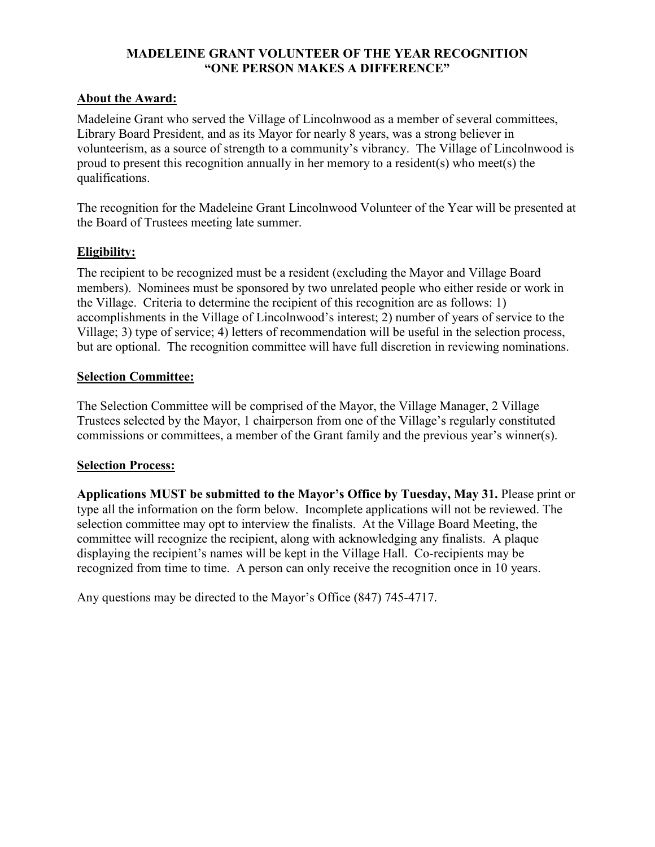## **MADELEINE GRANT VOLUNTEER OF THE YEAR RECOGNITION "ONE PERSON MAKES A DIFFERENCE"**

## **About the Award:**

Madeleine Grant who served the Village of Lincolnwood as a member of several committees, Library Board President, and as its Mayor for nearly 8 years, was a strong believer in volunteerism, as a source of strength to a community's vibrancy. The Village of Lincolnwood is proud to present this recognition annually in her memory to a resident(s) who meet(s) the qualifications.

The recognition for the Madeleine Grant Lincolnwood Volunteer of the Year will be presented at the Board of Trustees meeting late summer.

## **Eligibility:**

The recipient to be recognized must be a resident (excluding the Mayor and Village Board members). Nominees must be sponsored by two unrelated people who either reside or work in the Village. Criteria to determine the recipient of this recognition are as follows: 1) accomplishments in the Village of Lincolnwood's interest; 2) number of years of service to the Village; 3) type of service; 4) letters of recommendation will be useful in the selection process, but are optional. The recognition committee will have full discretion in reviewing nominations.

#### **Selection Committee:**

The Selection Committee will be comprised of the Mayor, the Village Manager, 2 Village Trustees selected by the Mayor, 1 chairperson from one of the Village's regularly constituted commissions or committees, a member of the Grant family and the previous year's winner(s).

#### **Selection Process:**

**Applications MUST be submitted to the Mayor's Office by Tuesday, May 31.** Please print or type all the information on the form below. Incomplete applications will not be reviewed. The selection committee may opt to interview the finalists. At the Village Board Meeting, the committee will recognize the recipient, along with acknowledging any finalists. A plaque displaying the recipient's names will be kept in the Village Hall. Co-recipients may be recognized from time to time. A person can only receive the recognition once in 10 years.

Any questions may be directed to the Mayor's Office (847) 745-4717.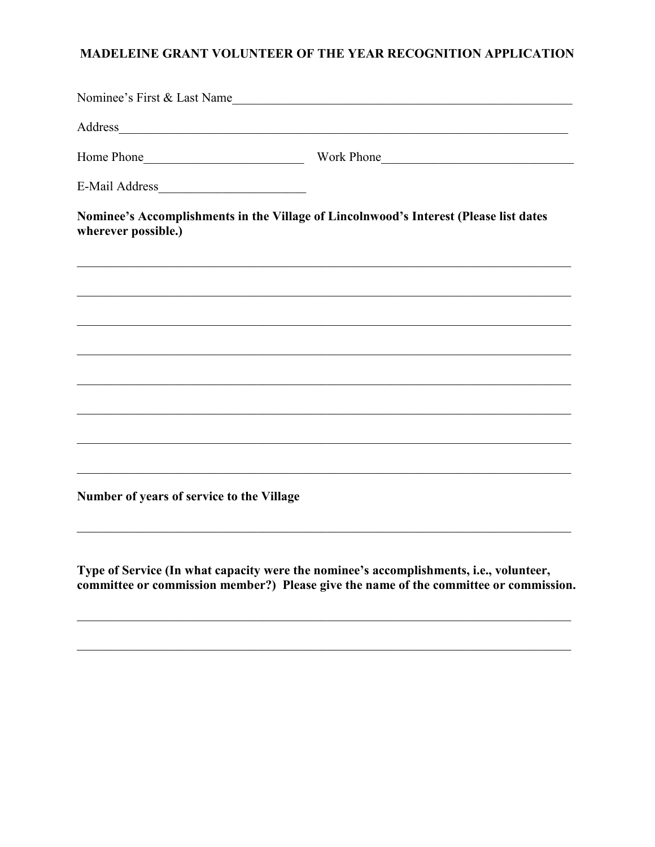## MADELEINE GRANT VOLUNTEER OF THE YEAR RECOGNITION APPLICATION

|                                           | Nominee's First & Last Name                                                                                                                                                                                                    |  |  |  |  |
|-------------------------------------------|--------------------------------------------------------------------------------------------------------------------------------------------------------------------------------------------------------------------------------|--|--|--|--|
|                                           | Address and the contract of the contract of the contract of the contract of the contract of the contract of the contract of the contract of the contract of the contract of the contract of the contract of the contract of th |  |  |  |  |
|                                           |                                                                                                                                                                                                                                |  |  |  |  |
|                                           |                                                                                                                                                                                                                                |  |  |  |  |
| wherever possible.)                       | Nominee's Accomplishments in the Village of Lincolnwood's Interest (Please list dates                                                                                                                                          |  |  |  |  |
|                                           |                                                                                                                                                                                                                                |  |  |  |  |
|                                           |                                                                                                                                                                                                                                |  |  |  |  |
|                                           | ,我们也不能在这里的时候,我们也不能在这里的时候,我们也不能会在这里的时候,我们也不能会在这里的时候,我们也不能会在这里的时候,我们也不能会在这里的时候,我们也不                                                                                                                                              |  |  |  |  |
|                                           |                                                                                                                                                                                                                                |  |  |  |  |
|                                           |                                                                                                                                                                                                                                |  |  |  |  |
|                                           |                                                                                                                                                                                                                                |  |  |  |  |
|                                           | ,我们也不能在这里的时候,我们也不能在这里的时候,我们也不能会在这里的时候,我们也不能会在这里的时候,我们也不能会在这里的时候,我们也不能会在这里的时候,我们也不                                                                                                                                              |  |  |  |  |
| Number of years of service to the Village |                                                                                                                                                                                                                                |  |  |  |  |
|                                           |                                                                                                                                                                                                                                |  |  |  |  |

Type of Service (In what capacity were the nominee's accomplishments, i.e., volunteer, committee or commission member?) Please give the name of the committee or commission.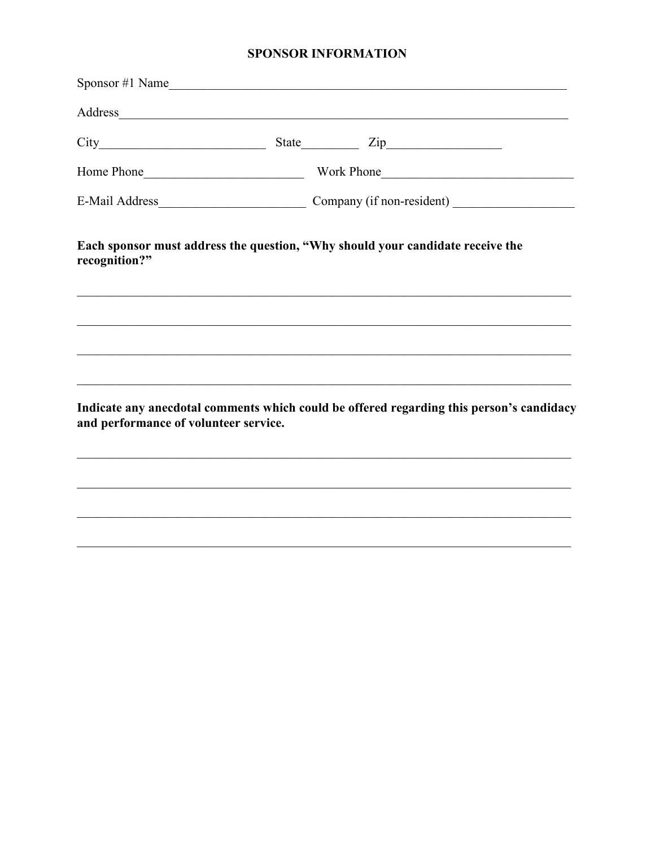## **SPONSOR INFORMATION**

| $S_{\text{ponsor}} \#1 \text{ Name}$  |  |                                                                                                                                                                                                                                |  |  |
|---------------------------------------|--|--------------------------------------------------------------------------------------------------------------------------------------------------------------------------------------------------------------------------------|--|--|
|                                       |  | Address and the contract of the contract of the contract of the contract of the contract of the contract of the contract of the contract of the contract of the contract of the contract of the contract of the contract of th |  |  |
|                                       |  |                                                                                                                                                                                                                                |  |  |
|                                       |  | Home Phone Lawrence and Work Phone Lawrence and Work Phone Lawrence and Work Phone Lawrence and Work Phone Lawrence and Lawrence and Lawrence and Lawrence and Lawrence and Lawrence and Lawrence and Lawrence and Lawrence an |  |  |
|                                       |  |                                                                                                                                                                                                                                |  |  |
| recognition?"                         |  | Each sponsor must address the question, "Why should your candidate receive the                                                                                                                                                 |  |  |
|                                       |  |                                                                                                                                                                                                                                |  |  |
|                                       |  |                                                                                                                                                                                                                                |  |  |
| and performance of volunteer service. |  | Indicate any anecdotal comments which could be offered regarding this person's candidacy                                                                                                                                       |  |  |
|                                       |  |                                                                                                                                                                                                                                |  |  |
|                                       |  |                                                                                                                                                                                                                                |  |  |